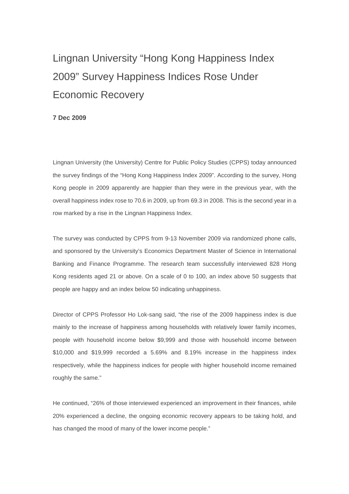# Lingnan University "Hong Kong Happiness Index 2009" Survey Happiness Indices Rose Under Economic Recovery

### **7 Dec 2009**

Lingnan University (the University) Centre for Public Policy Studies (CPPS) today announced the survey findings of the "Hong Kong Happiness Index 2009". According to the survey, Hong Kong people in 2009 apparently are happier than they were in the previous year, with the overall happiness index rose to 70.6 in 2009, up from 69.3 in 2008. This is the second year in a row marked by a rise in the Lingnan Happiness Index.

The survey was conducted by CPPS from 9-13 November 2009 via randomized phone calls, and sponsored by the University's Economics Department Master of Science in International Banking and Finance Programme. The research team successfully interviewed 828 Hong Kong residents aged 21 or above. On a scale of 0 to 100, an index above 50 suggests that people are happy and an index below 50 indicating unhappiness.

Director of CPPS Professor Ho Lok-sang said, "the rise of the 2009 happiness index is due mainly to the increase of happiness among households with relatively lower family incomes, people with household income below \$9,999 and those with household income between \$10,000 and \$19,999 recorded a 5.69% and 8.19% increase in the happiness index respectively, while the happiness indices for people with higher household income remained roughly the same."

He continued, "26% of those interviewed experienced an improvement in their finances, while 20% experienced a decline, the ongoing economic recovery appears to be taking hold, and has changed the mood of many of the lower income people."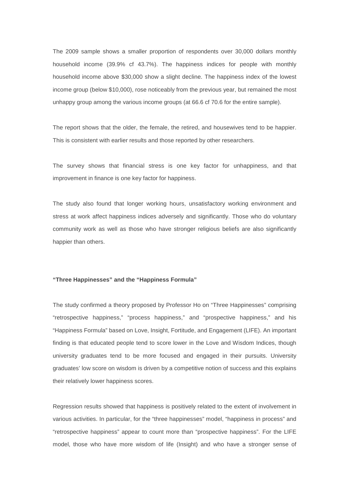The 2009 sample shows a smaller proportion of respondents over 30,000 dollars monthly household income (39.9% cf 43.7%). The happiness indices for people with monthly household income above \$30,000 show a slight decline. The happiness index of the lowest income group (below \$10,000), rose noticeably from the previous year, but remained the most unhappy group among the various income groups (at 66.6 cf 70.6 for the entire sample).

The report shows that the older, the female, the retired, and housewives tend to be happier. This is consistent with earlier results and those reported by other researchers.

The survey shows that financial stress is one key factor for unhappiness, and that improvement in finance is one key factor for happiness.

The study also found that longer working hours, unsatisfactory working environment and stress at work affect happiness indices adversely and significantly. Those who do voluntary community work as well as those who have stronger religious beliefs are also significantly happier than others.

#### **"Three Happinesses" and the "Happiness Formula"**

The study confirmed a theory proposed by Professor Ho on "Three Happinesses" comprising "retrospective happiness," "process happiness," and "prospective happiness," and his "Happiness Formula" based on Love, Insight, Fortitude, and Engagement (LIFE). An important finding is that educated people tend to score lower in the Love and Wisdom Indices, though university graduates tend to be more focused and engaged in their pursuits. University graduates' low score on wisdom is driven by a competitive notion of success and this explains their relatively lower happiness scores.

Regression results showed that happiness is positively related to the extent of involvement in various activities. In particular, for the "three happinesses" model, "happiness in process" and "retrospective happiness" appear to count more than "prospective happiness". For the LIFE model, those who have more wisdom of life (Insight) and who have a stronger sense of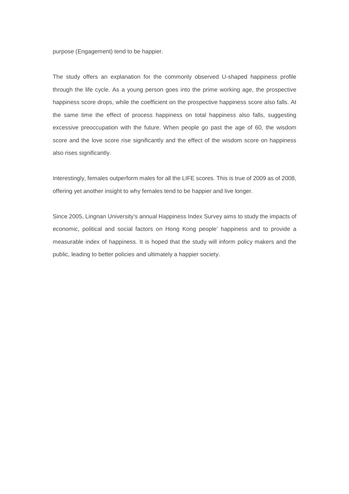purpose (Engagement) tend to be happier.

The study offers an explanation for the commonly observed U-shaped happiness profile through the life cycle. As a young person goes into the prime working age, the prospective happiness score drops, while the coefficient on the prospective happiness score also falls. At the same time the effect of process happiness on total happiness also falls, suggesting excessive preoccupation with the future. When people go past the age of 60, the wisdom score and the love score rise significantly and the effect of the wisdom score on happiness also rises significantly.

Interestingly, females outperform males for all the LIFE scores. This is true of 2009 as of 2008, offering yet another insight to why females tend to be happier and live longer.

Since 2005, Lingnan University's annual Happiness Index Survey aims to study the impacts of economic, political and social factors on Hong Kong people' happiness and to provide a measurable index of happiness. It is hoped that the study will inform policy makers and the public, leading to better policies and ultimately a happier society.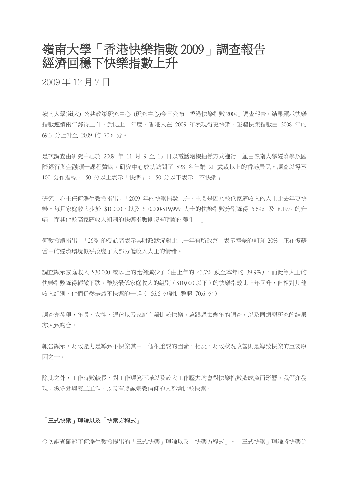# 嶺南大學「香港快樂指數 2009」調查報告 經濟回穩下快樂指數上升

2009 年 12 月 7 日

嶺南大學(嶺大) 公共政策研究中心 (研究中心)今日公布「香港快樂指數 2009」調查報告。結果顯示快樂 指數連續兩年錄得上升,對比上一年度,香港人在 2009 年表現得更快樂。整體快樂指數由 2008 年的 69.3 分上升至 2009 的 70.6 分。

是次調查由研究中心於 2009 年 11 月 9 至 13 日以電話隨機抽樣方式進行,並由嶺南大學經濟學系國 際銀行與金融碩士課程贊助。研究中心成功訪問了 828 名年齡 21 歲或以上的香港居民。調查以零至 100 分作指標, 50 分以上表示「快樂」; 50 分以下表示「不快樂」。

研究中心主任何濼生教授指出:「2009 年的快樂指數上升,主要是因為較低家庭收入的人士比去年更快 樂。每月家庭收入少於 \$10,000,以及 \$10,000-\$19,999 人士的快樂指數分別錄得 5.69% 及 8.19% 的升 幅,而其他較高家庭收入組別的快樂指數則沒有明顯的變化。」

何教授續指出:「26% 的受訪者表示其財政狀況對比上一年有所改善,表示轉差的則有 20%。正在復蘇 當中的經濟環境似乎改變了大部分低收入人士的情緒。」

調查顯示家庭收入 \$30,000 或以上的比例減少了 (由上年的 43.7% 跌至本年的 39.9%),而此等人士的 快樂指數錄得輕微下跌。雖然最低家庭收入的組別(\$10,000 以下)的快樂指數比上年回升,但相對其他 收入組別,他們仍然是最不快樂的一群( 66.6 分對比整體 70.6 分)。

調查亦發現,年長、女性、退休以及家庭主婦比較快樂。這跟過去幾年的調查,以及同類型研究的結果 亦大致吻合。

報告顯示,財政壓力是導致不快樂其中一個很重要的因素,相反,財政狀況改善則是導致快樂的重要原 因之一。

除此之外,工作時數較長、對工作環境不滿以及較大工作壓力均會對快樂指數造成負面影響。我們亦發 現:愈多參與義工工作,以及有虔誠宗教信仰的人都會比較快樂。

## 「三式快樂」理論以及「快樂方程式」

今次調查確認了何濼生教授提出的「三式快樂」理論以及「快樂方程式」。「三式快樂」理論將快樂分